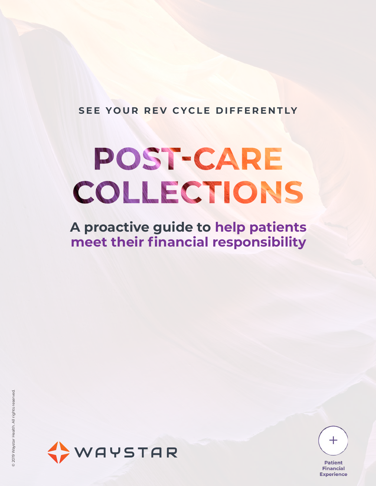**SEE YOUR REV CYCLE DIFFERENTLY**

# POST-CARE COLLECTIONS

**A proactive guide to help patients meet their financial responsibility**





**Patient Financial Experience**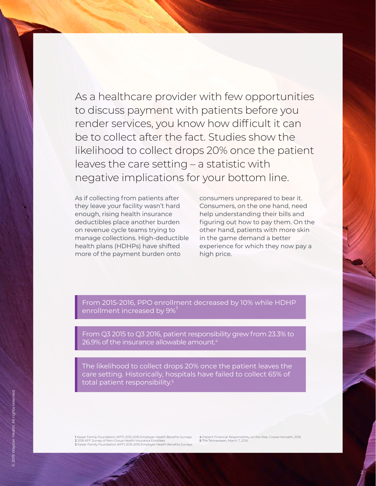As a healthcare provider with few opportunities to discuss payment with patients before you render services, you know how difficult it can be to collect after the fact. Studies show the likelihood to collect drops 20% once the patient leaves the care setting – a statistic with negative implications for your bottom line.

As if collecting from patients after they leave your facility wasn't hard enough, rising health insurance deductibles place another burden on revenue cycle teams trying to manage collections. High-deductible health plans (HDHPs) have shifted more of the payment burden onto

consumers unprepared to bear it. Consumers, on the one hand, need help understanding their bills and figuring out how to pay them. On the other hand, patients with more skin in the game demand a better experience for which they now pay a high price.

From 2015-2016, PPO enrollment decreased by 10% while HDHP enrollment increased by 9%

From Q3 2015 to Q3 2016, patient responsibility grew from 23.3% to 26.9% of the insurance allowable amount. $4$ 

The likelihood to collect drops 20% once the patient leaves the care setting. Historically, hospitals have failed to collect 65% of total patient responsibility.5

1 Kaiser Family Foundation (KFF) 2015-2016 Employer Health Benefits Surveys<br>2 2016 KFF Survey of Non-Group Health Insurance Enrollees<br>3 Kaiser Family Foundation (KFF) 2015-2016 Employer Health Benefits Surveys

4 Patient Financial Responsibility on the Rise, Crowe Horwath, 2016 5 The Tennessean, March 7, 2016

2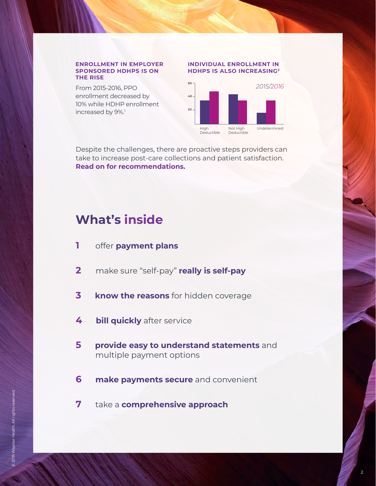#### **ENROLLMENT IN EMPLOYER SPONSORED HDHPS IS ON THE RISE**

From 2015-2016, PPO enrollment decreased by 10% while HDHP enrollment increased by 9%.<sup>1</sup>

#### **INDIVIDUAL ENROLLMENT IN HDHPS IS ALSO INCREASING2**



Despite the challenges, there are proactive steps providers can take to increase post-care collections and patient satisfaction. **Read on for recommendations.**

### **What's inside**

- **1** offer **payment plans**
- **2** make sure "self-pay" **really is self-pay**
- **3 know the reasons** for hidden coverage
- **4 bill quickly** after service
- **5 provide easy to understand statements** and multiple payment options
- **6 make payments secure** and convenient
- **7** take a **comprehensive approach**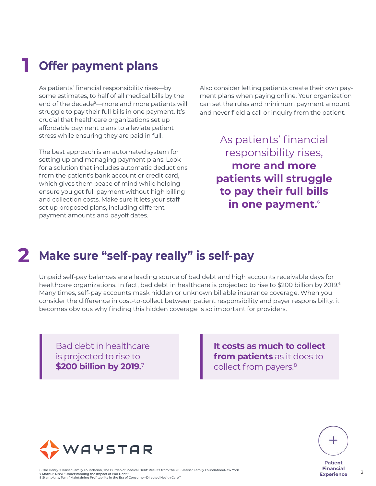#### **1 Offer payment plans**

As patients' financial responsibility rises—by some estimates, to half of all medical bills by the end of the decade<sup>5</sup>—more and more patients will struggle to pay their full bills in one payment. It's crucial that healthcare organizations set up affordable payment plans to alleviate patient stress while ensuring they are paid in full.

The best approach is an automated system for setting up and managing payment plans. Look for a solution that includes automatic deductions from the patient's bank account or credit card, which gives them peace of mind while helping ensure you get full payment without high billing and collection costs. Make sure it lets your staff set up proposed plans, including different payment amounts and payoff dates.

Also consider letting patients create their own payment plans when paying online. Your organization can set the rules and minimum payment amount and never field a call or inquiry from the patient.

> As patients' financial responsibility rises, **more and more patients will struggle to pay their full bills in one payment.**<sup>6</sup>

# **2 Make sure "self-pay really" is self-pay**

Unpaid self-pay balances are a leading source of bad debt and high accounts receivable days for healthcare organizations. In fact, bad debt in healthcare is projected to rise to \$200 billion by 2019.<sup>6</sup> Many times, self-pay accounts mask hidden or unknown billable insurance coverage. When you consider the difference in cost-to-collect between patient responsibility and payer responsibility, it becomes obvious why finding this hidden coverage is so important for providers.

Bad debt in healthcare is projected to rise to **\$200 billion by 2019.**7

**It costs as much to collect from patients** as it does to collect from payers.<sup>8</sup>



6 The Henry J. Kaiser Family Foundation, The Burden of Medical Debt: Results from the 2016 Kaiser Family Foundation/New York 7 Mathur, Rishi. "Understanding the Impact of Bad Debt." 8 Stampiglia, Tom. "Maintaining Profitability in the Era of Consumer-Directed Health Care."



 $\overline{3}$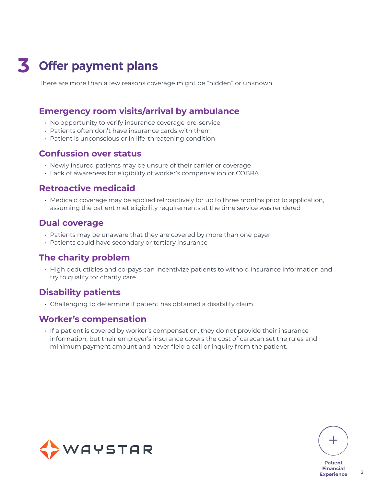# **3 Offer payment plans**

There are more than a few reasons coverage might be "hidden" or unknown.

#### **Emergency room visits/arrival by ambulance**

- No opportunity to verify insurance coverage pre-service
- Patients often don't have insurance cards with them
- Patient is unconscious or in life-threatening condition

#### **Confussion over status**

- Newly insured patients may be unsure of their carrier or coverage
- Lack of awareness for eligibility of worker's compensation or COBRA

#### **Retroactive medicaid**

• Medicaid coverage may be applied retroactively for up to three months prior to application, assuming the patient met eligibility requirements at the time service was rendered

#### **Dual coverage**

- Patients may be unaware that they are covered by more than one payer
- Patients could have secondary or tertiary insurance

#### **The charity problem**

• High deductibles and co-pays can incentivize patients to withold insurance information and try to qualify for charity care

#### **Disability patients**

• Challenging to determine if patient has obtained a disability claim

#### **Worker's compensation**

• If a patient is covered by worker's compensation, they do not provide their insurance information, but their employer's insurance covers the cost of carecan set the rules and minimum payment amount and never field a call or inquiry from the patient.





3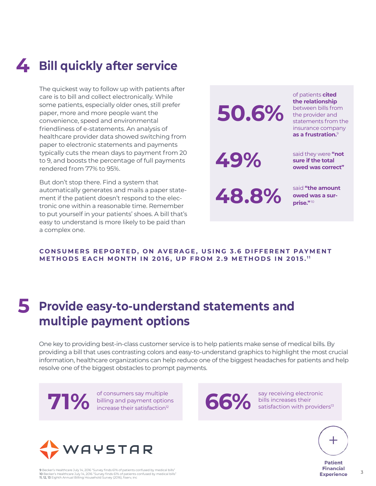# **4 Bill quickly after service**

The quickest way to follow up with patients after care is to bill and collect electronically. While some patients, especially older ones, still prefer paper, more and more people want the convenience, speed and environmental friendliness of e-statements. An analysis of healthcare provider data showed switching from paper to electronic statements and payments typically cuts the mean days to payment from 20 to 9, and boosts the percentage of full payments rendered from 77% to 95%.

But don't stop there. Find a system that automatically generates and mails a paper statement if the patient doesn't respond to the electronic one within a reasonable time. Remember to put yourself in your patients' shoes. A bill that's easy to understand is more likely to be paid than a complex one.



#### **CONSUMERS REPORTED, ON AVERAGE, USING 3.6 DIFFERENT PAYMENT METHODS EACH MONTH IN 2016, UP FROM 2.9 METHODS IN 2015.**<sup>11</sup>

### **5 Provide easy-to-understand statements and multiple payment options**

One key to providing best-in-class customer service is to help patients make sense of medical bills. By providing a bill that uses contrasting colors and easy-to-understand graphics to highlight the most crucial information, healthcare organizations can help reduce one of the biggest headaches for patients and help resolve one of the biggest obstacles to prompt payments.

of consumers say multiple billing and payment options **10%** of consumers say multiple<br>increase their satisfaction<sup>12</sup> **66%** bills increases their<br>satisfaction with providers<sup>13</sup>

WAYSTAR

9 Becker's Healthcare July 14, 2016 "Survey finds 61% of patients confused by medical bills" 10 Becker's Healthcare July 14, 2016 "Survey finds 61% of patients confused by medical bills" 11, 12, 13 Eighth Annual Billing Household Survey (2016), fiserv, inc

say receiving electronic **66%** bills increases their<br>**66%** satisfaction with providers<sup>13</sup>



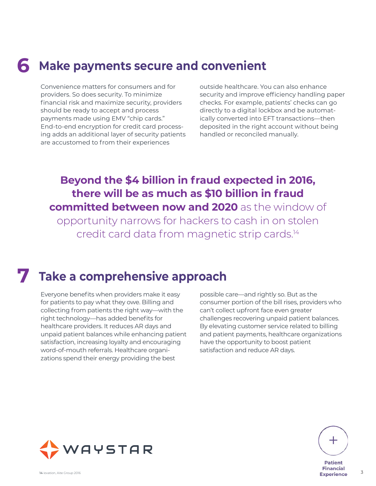# **6 Make payments secure and convenient**

Convenience matters for consumers and for providers. So does security. To minimize financial risk and maximize security, providers should be ready to accept and process payments made using EMV "chip cards." End-to-end encryption for credit card processing adds an additional layer of security patients are accustomed to from their experiences

outside healthcare. You can also enhance security and improve efficiency handling paper checks. For example, patients' checks can go directly to a digital lockbox and be automatically converted into EFT transactions—then deposited in the right account without being handled or reconciled manually.

### **Beyond the \$4 billion in fraud expected in 2016, there will be as much as \$10 billion in fraud committed between now and 2020** as the window of

opportunity narrows for hackers to cash in on stolen credit card data from magnetic strip cards.14

## **7 Take a comprehensive approach**

Everyone benefits when providers make it easy for patients to pay what they owe. Billing and collecting from patients the right way—with the right technology—has added benefits for healthcare providers. It reduces AR days and unpaid patient balances while enhancing patient satisfaction, increasing loyalty and encouraging word-of-mouth referrals. Healthcare organizations spend their energy providing the best

possible care—and rightly so. But as the consumer portion of the bill rises, providers who can't collect upfront face even greater challenges recovering unpaid patient balances. By elevating customer service related to billing and patient payments, healthcare organizations have the opportunity to boost patient satisfaction and reduce AR days.





3